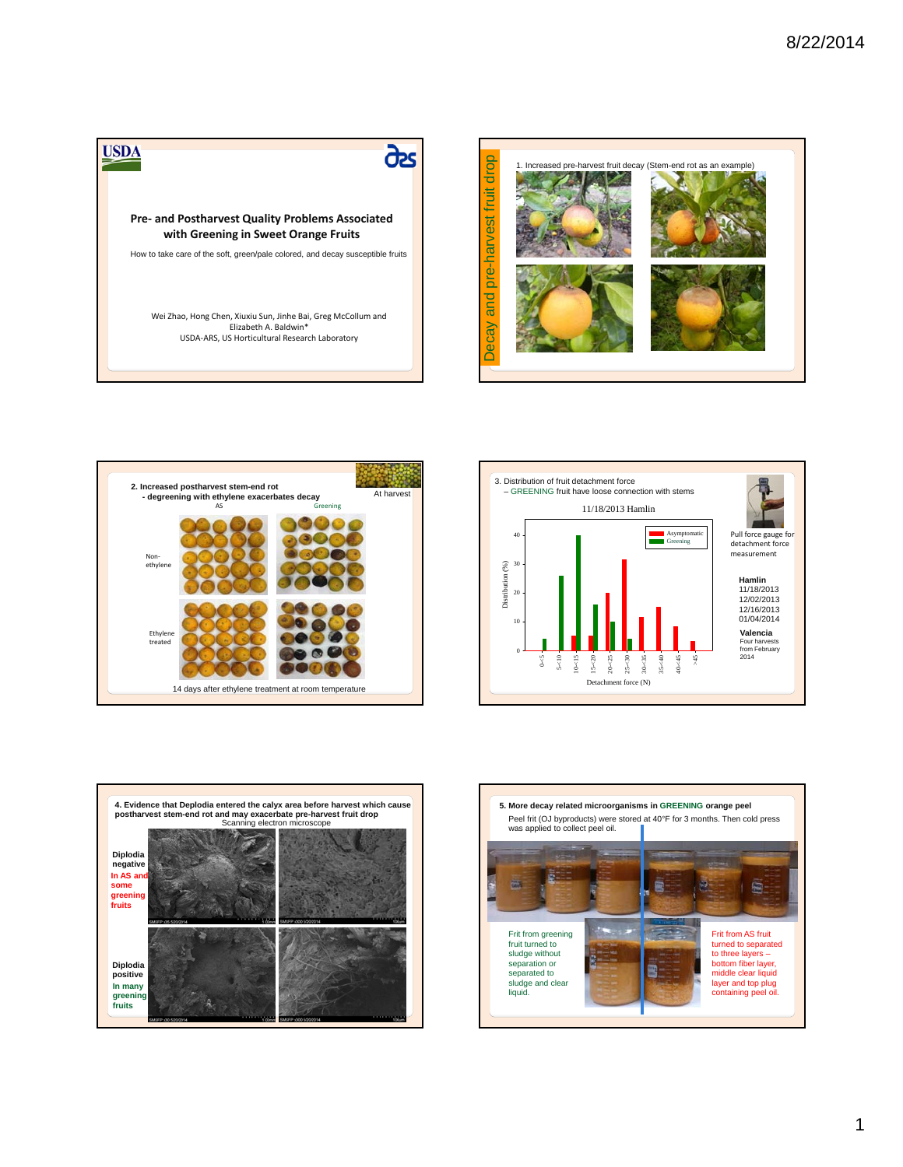









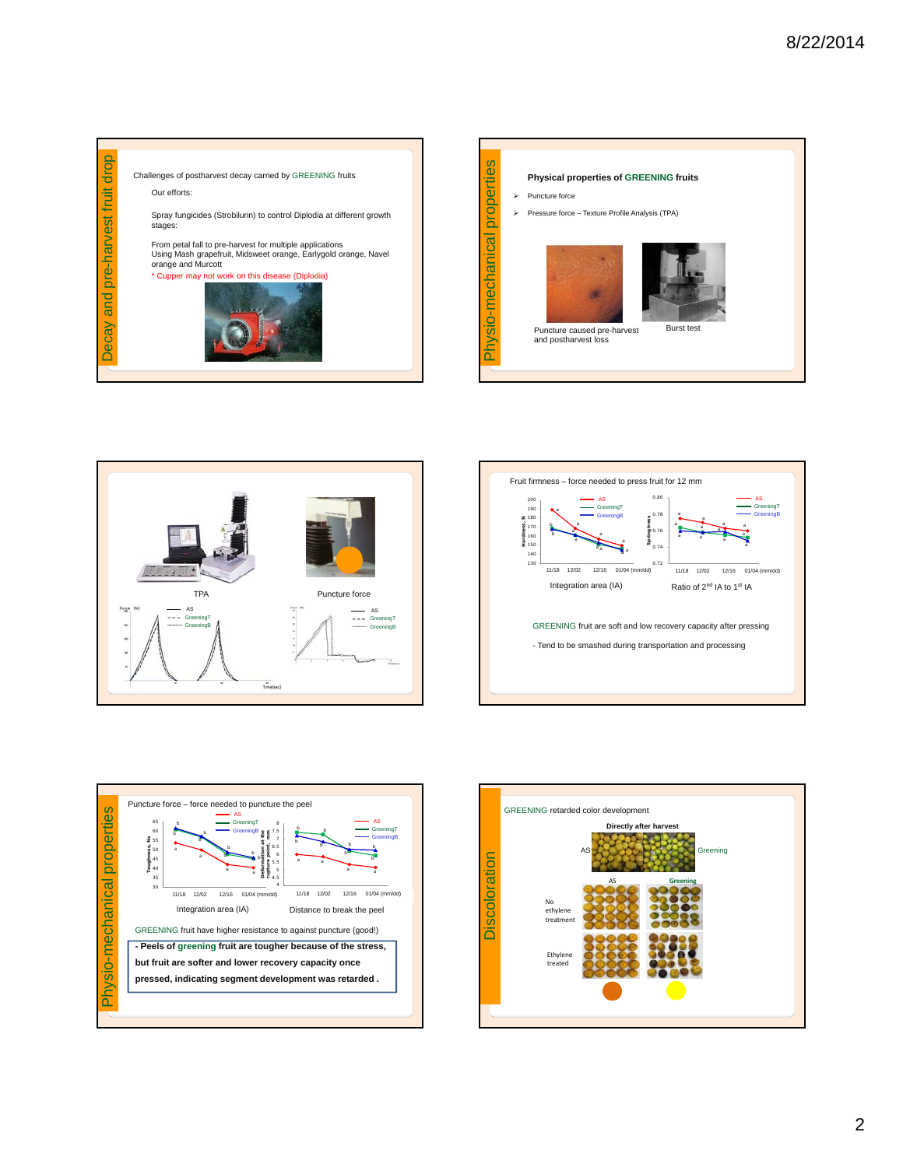